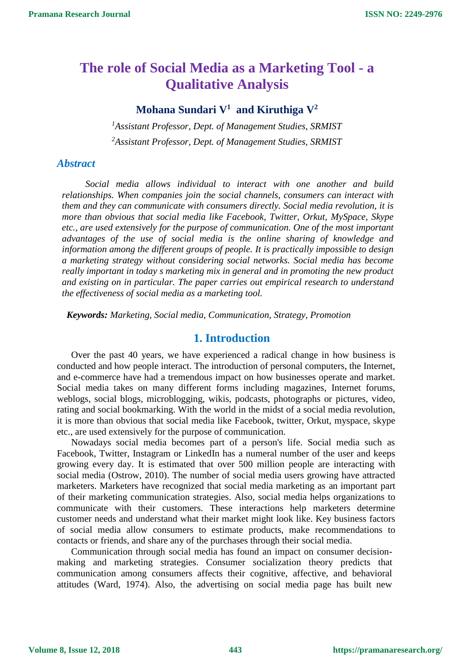# **The role of Social Media as a Marketing Tool - a Qualitative Analysis**

# **Mohana Sundari V<sup>1</sup> and Kiruthiga V<sup>2</sup>**

*<sup>1</sup>Assistant Professor, Dept. of Management Studies, SRMIST <sup>2</sup>Assistant Professor, Dept. of Management Studies, SRMIST*

# *Abstract*

*Social media allows individual to interact with one another and build relationships. When companies join the social channels, consumers can interact with them and they can communicate with consumers directly. Social media revolution, it is more than obvious that social media like Facebook, Twitter, Orkut, MySpace, Skype etc., are used extensively for the purpose of communication. One of the most important advantages of the use of social media is the online sharing of knowledge and information among the different groups of people. It is practically impossible to design a marketing strategy without considering social networks. Social media has become really important in today s marketing mix in general and in promoting the new product and existing on in particular. The paper carries out empirical research to understand the effectiveness of social media as a marketing tool.*

*Keywords: Marketing, Social media, Communication, Strategy, Promotion*

# **1. Introduction**

Over the past 40 years, we have experienced a radical change in how business is conducted and how people interact. The introduction of personal computers, the Internet, and e-commerce have had a tremendous impact on how businesses operate and market. Social media takes on many different forms including magazines, Internet forums, weblogs, social blogs, microblogging, wikis, podcasts, photographs or pictures, video, rating and social bookmarking. With the world in the midst of a social media revolution, it is more than obvious that social media like Facebook, twitter, Orkut, myspace, skype etc., are used extensively for the purpose of communication.

Nowadays social media becomes part of a person's life. Social media such as Facebook, Twitter, Instagram or LinkedIn has a numeral number of the user and keeps growing every day. It is estimated that over 500 million people are interacting with social media (Ostrow, 2010). The number of social media users growing have attracted marketers. Marketers have recognized that social media marketing as an important part of their marketing communication strategies. Also, social media helps organizations to communicate with their customers. These interactions help marketers determine customer needs and understand what their market might look like. Key business factors of social media allow consumers to estimate products, make recommendations to contacts or friends, and share any of the purchases through their social media.

Communication through social media has found an impact on consumer decisionmaking and marketing strategies. Consumer socialization theory predicts that communication among consumers affects their cognitive, affective, and behavioral attitudes (Ward, 1974). Also, the advertising on social media page has built new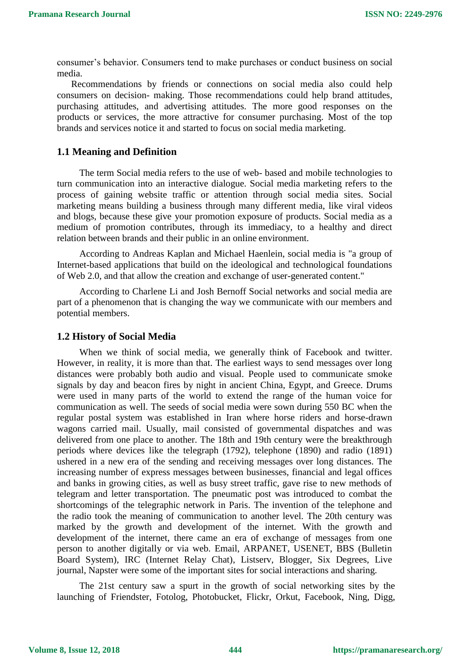consumer's behavior. Consumers tend to make purchases or conduct business on social media.

Recommendations by friends or connections on social media also could help consumers on decision- making. Those recommendations could help brand attitudes, purchasing attitudes, and advertising attitudes. The more good responses on the products or services, the more attractive for consumer purchasing. Most of the top brands and services notice it and started to focus on social media marketing.

## **1.1 Meaning and Definition**

The term Social media refers to the use of web- based and mobile technologies to turn communication into an interactive dialogue. Social media marketing refers to the process of gaining website traffic or attention through social media sites. Social marketing means building a business through many different media, like viral videos and blogs, because these give your promotion exposure of products. Social media as a medium of promotion contributes, through its immediacy, to a healthy and direct relation between brands and their public in an online environment.

According to Andreas Kaplan and Michael Haenlein, social media is "a group of Internet-based applications that build on the ideological and technological foundations of Web 2.0, and that allow the creation and exchange of user-generated content."

According to Charlene Li and Josh Bernoff Social networks and social media are part of a phenomenon that is changing the way we communicate with our members and potential members.

#### **1.2 History of Social Media**

When we think of social media, we generally think of Facebook and twitter. However, in reality, it is more than that. The earliest ways to send messages over long distances were probably both audio and visual. People used to communicate smoke signals by day and beacon fires by night in ancient China, Egypt, and Greece. Drums were used in many parts of the world to extend the range of the human voice for communication as well. The seeds of social media were sown during 550 BC when the regular postal system was established in Iran where horse riders and horse-drawn wagons carried mail. Usually, mail consisted of governmental dispatches and was delivered from one place to another. The 18th and 19th century were the breakthrough periods where devices like the telegraph (1792), telephone (1890) and radio (1891) ushered in a new era of the sending and receiving messages over long distances. The increasing number of express messages between businesses, financial and legal offices and banks in growing cities, as well as busy street traffic, gave rise to new methods of telegram and letter transportation. The pneumatic post was introduced to combat the shortcomings of the telegraphic network in Paris. The invention of the telephone and the radio took the meaning of communication to another level. The 20th century was marked by the growth and development of the internet. With the growth and development of the internet, there came an era of exchange of messages from one person to another digitally or via web. Email, ARPANET, USENET, BBS (Bulletin Board System), IRC (Internet Relay Chat), Listserv, Blogger, Six Degrees, Live journal, Napster were some of the important sites for social interactions and sharing.

The 21st century saw a spurt in the growth of social networking sites by the launching of Friendster, Fotolog, Photobucket, Flickr, Orkut, Facebook, Ning, Digg,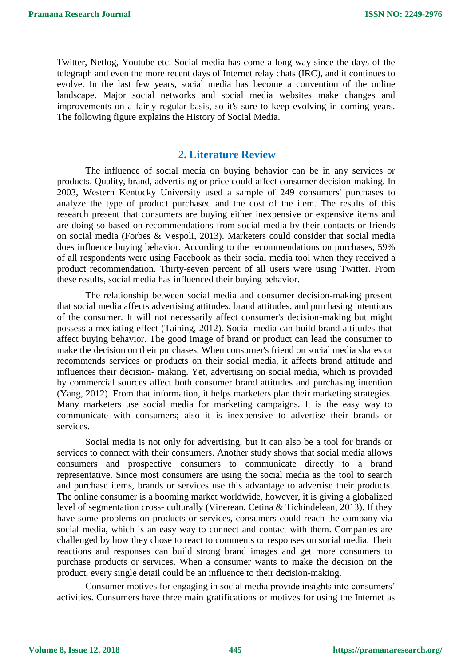Twitter, Netlog, Youtube etc. Social media has come a long way since the days of the telegraph and even the more recent days of Internet relay chats (IRC), and it continues to evolve. In the last few years, social media has become a convention of the online landscape. Major social networks and social media websites make changes and improvements on a fairly regular basis, so it's sure to keep evolving in coming years. The following figure explains the History of Social Media.

# **2. Literature Review**

The influence of social media on buying behavior can be in any services or products. Quality, brand, advertising or price could affect consumer decision-making. In 2003, Western Kentucky University used a sample of 249 consumers' purchases to analyze the type of product purchased and the cost of the item. The results of this research present that consumers are buying either inexpensive or expensive items and are doing so based on recommendations from social media by their contacts or friends on social media (Forbes & Vespoli, 2013). Marketers could consider that social media does influence buying behavior. According to the recommendations on purchases, 59% of all respondents were using Facebook as their social media tool when they received a product recommendation. Thirty-seven percent of all users were using Twitter. From these results, social media has influenced their buying behavior.

The relationship between social media and consumer decision-making present that social media affects advertising attitudes, brand attitudes, and purchasing intentions of the consumer. It will not necessarily affect consumer's decision-making but might possess a mediating effect (Taining, 2012). Social media can build brand attitudes that affect buying behavior. The good image of brand or product can lead the consumer to make the decision on their purchases. When consumer's friend on social media shares or recommends services or products on their social media, it affects brand attitude and influences their decision- making. Yet, advertising on social media, which is provided by commercial sources affect both consumer brand attitudes and purchasing intention (Yang, 2012). From that information, it helps marketers plan their marketing strategies. Many marketers use social media for marketing campaigns. It is the easy way to communicate with consumers; also it is inexpensive to advertise their brands or services.

Social media is not only for advertising, but it can also be a tool for brands or services to connect with their consumers. Another study shows that social media allows consumers and prospective consumers to communicate directly to a brand representative. Since most consumers are using the social media as the tool to search and purchase items, brands or services use this advantage to advertise their products. The online consumer is a booming market worldwide, however, it is giving a globalized level of segmentation cross- culturally (Vinerean, Cetina & Tichindelean, 2013). If they have some problems on products or services, consumers could reach the company via social media, which is an easy way to connect and contact with them. Companies are challenged by how they chose to react to comments or responses on social media. Their reactions and responses can build strong brand images and get more consumers to purchase products or services. When a consumer wants to make the decision on the product, every single detail could be an influence to their decision-making.

Consumer motives for engaging in social media provide insights into consumers' activities. Consumers have three main gratifications or motives for using the Internet as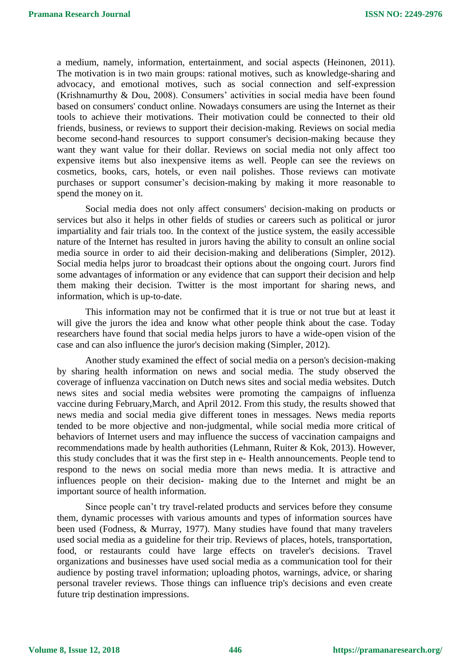a medium, namely, information, entertainment, and social aspects (Heinonen, 2011). The motivation is in two main groups: rational motives, such as knowledge-sharing and advocacy, and emotional motives, such as social connection and self-expression (Krishnamurthy & Dou, 2008). Consumers' activities in social media have been found based on consumers' conduct online. Nowadays consumers are using the Internet as their tools to achieve their motivations. Their motivation could be connected to their old friends, business, or reviews to support their decision-making. Reviews on social media become second-hand resources to support consumer's decision-making because they want they want value for their dollar. Reviews on social media not only affect too expensive items but also inexpensive items as well. People can see the reviews on cosmetics, books, cars, hotels, or even nail polishes. Those reviews can motivate purchases or support consumer's decision-making by making it more reasonable to spend the money on it.

Social media does not only affect consumers' decision-making on products or services but also it helps in other fields of studies or careers such as political or juror impartiality and fair trials too. In the context of the justice system, the easily accessible nature of the Internet has resulted in jurors having the ability to consult an online social media source in order to aid their decision-making and deliberations (Simpler, 2012). Social media helps juror to broadcast their options about the ongoing court. Jurors find some advantages of information or any evidence that can support their decision and help them making their decision. Twitter is the most important for sharing news, and information, which is up-to-date.

This information may not be confirmed that it is true or not true but at least it will give the jurors the idea and know what other people think about the case. Today researchers have found that social media helps jurors to have a wide-open vision of the case and can also influence the juror's decision making (Simpler, 2012).

Another study examined the effect of social media on a person's decision-making by sharing health information on news and social media. The study observed the coverage of influenza vaccination on Dutch news sites and social media websites. Dutch news sites and social media websites were promoting the campaigns of influenza vaccine during February,March, and April 2012. From this study, the results showed that news media and social media give different tones in messages. News media reports tended to be more objective and non-judgmental, while social media more critical of behaviors of Internet users and may influence the success of vaccination campaigns and recommendations made by health authorities (Lehmann, Ruiter & Kok, 2013). However, this study concludes that it was the first step in e- Health announcements. People tend to respond to the news on social media more than news media. It is attractive and influences people on their decision- making due to the Internet and might be an important source of health information.

Since people can't try travel-related products and services before they consume them, dynamic processes with various amounts and types of information sources have been used (Fodness, & Murray, 1977). Many studies have found that many travelers used social media as a guideline for their trip. Reviews of places, hotels, transportation, food, or restaurants could have large effects on traveler's decisions. Travel organizations and businesses have used social media as a communication tool for their audience by posting travel information; uploading photos, warnings, advice, or sharing personal traveler reviews. Those things can influence trip's decisions and even create future trip destination impressions.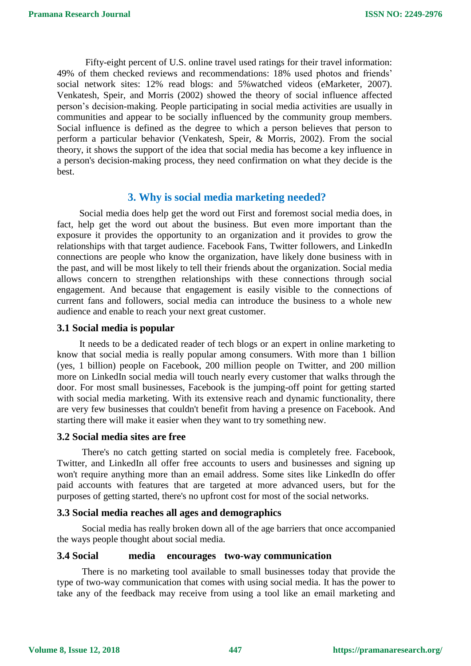Fifty-eight percent of U.S. online travel used ratings for their travel information: 49% of them checked reviews and recommendations: 18% used photos and friends' social network sites: 12% read blogs: and 5%watched videos (eMarketer, 2007). Venkatesh, Speir, and Morris (2002) showed the theory of social influence affected person's decision-making. People participating in social media activities are usually in communities and appear to be socially influenced by the community group members. Social influence is defined as the degree to which a person believes that person to perform a particular behavior (Venkatesh, Speir, & Morris, 2002). From the social theory, it shows the support of the idea that social media has become a key influence in a person's decision-making process, they need confirmation on what they decide is the best.

# **3. Why is social media marketing needed?**

Social media does help get the word out First and foremost social media does, in fact, help get the word out about the business. But even more important than the exposure it provides the opportunity to an organization and it provides to grow the relationships with that target audience. Facebook Fans, Twitter followers, and LinkedIn connections are people who know the organization, have likely done business with in the past, and will be most likely to tell their friends about the organization. Social media allows concern to strengthen relationships with these connections through social engagement. And because that engagement is easily visible to the connections of current fans and followers, social media can introduce the business to a whole new audience and enable to reach your next great customer.

#### **3.1 Social media is popular**

It needs to be a dedicated reader of tech blogs or an expert in online marketing to know that social media is really popular among consumers. With more than 1 billion (yes, 1 billion) people on Facebook, 200 million people on Twitter, and 200 million more on LinkedIn social media will touch nearly every customer that walks through the door. For most small businesses, Facebook is the jumping-off point for getting started with social media marketing. With its extensive reach and dynamic functionality, there are very few businesses that couldn't benefit from having a presence on Facebook. And starting there will make it easier when they want to try something new.

#### **3.2 Social media sites are free**

There's no catch getting started on social media is completely free. Facebook, Twitter, and LinkedIn all offer free accounts to users and businesses and signing up won't require anything more than an email address. Some sites like LinkedIn do offer paid accounts with features that are targeted at more advanced users, but for the purposes of getting started, there's no upfront cost for most of the social networks.

#### **3.3 Social media reaches all ages and demographics**

Social media has really broken down all of the age barriers that once accompanied the ways people thought about social media.

#### **3.4 Social media encourages two-way communication**

There is no marketing tool available to small businesses today that provide the type of two-way communication that comes with using social media. It has the power to take any of the feedback may receive from using a tool like an email marketing and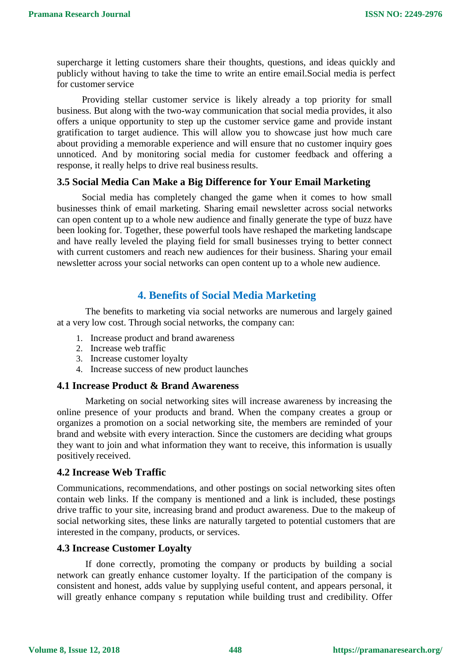supercharge it letting customers share their thoughts, questions, and ideas quickly and publicly without having to take the time to write an entire email.Social media is perfect for customer service

Providing stellar customer service is likely already a top priority for small business. But along with the two-way communication that social media provides, it also offers a unique opportunity to step up the customer service game and provide instant gratification to target audience. This will allow you to showcase just how much care about providing a memorable experience and will ensure that no customer inquiry goes unnoticed. And by monitoring social media for customer feedback and offering a response, it really helps to drive real business results.

# **3.5 Social Media Can Make a Big Difference for Your Email Marketing**

Social media has completely changed the game when it comes to how small businesses think of email marketing. Sharing email newsletter across social networks can open content up to a whole new audience and finally generate the type of buzz have been looking for. Together, these powerful tools have reshaped the marketing landscape and have really leveled the playing field for small businesses trying to better connect with current customers and reach new audiences for their business. Sharing your email newsletter across your social networks can open content up to a whole new audience.

# **4. Benefits of Social Media Marketing**

The benefits to marketing via social networks are numerous and largely gained at a very low cost. Through social networks, the company can:

- 1. Increase product and brand awareness
- 2. Increase web traffic
- 3. Increase customer loyalty
- 4. Increase success of new product launches

## **4.1 Increase Product & Brand Awareness**

Marketing on social networking sites will increase awareness by increasing the online presence of your products and brand. When the company creates a group or organizes a promotion on a social networking site, the members are reminded of your brand and website with every interaction. Since the customers are deciding what groups they want to join and what information they want to receive, this information is usually positively received.

## **4.2 Increase Web Traffic**

Communications, recommendations, and other postings on social networking sites often contain web links. If the company is mentioned and a link is included, these postings drive traffic to your site, increasing brand and product awareness. Due to the makeup of social networking sites, these links are naturally targeted to potential customers that are interested in the company, products, or services.

## **4.3 Increase Customer Loyalty**

If done correctly, promoting the company or products by building a social network can greatly enhance customer loyalty. If the participation of the company is consistent and honest, adds value by supplying useful content, and appears personal, it will greatly enhance company s reputation while building trust and credibility. Offer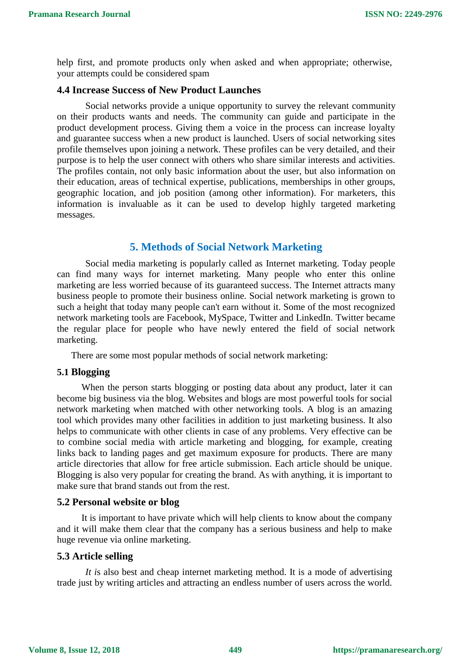help first, and promote products only when asked and when appropriate; otherwise, your attempts could be considered spam

# **4.4 Increase Success of New Product Launches**

Social networks provide a unique opportunity to survey the relevant community on their products wants and needs. The community can guide and participate in the product development process. Giving them a voice in the process can increase loyalty and guarantee success when a new product is launched. Users of social networking sites profile themselves upon joining a network. These profiles can be very detailed, and their purpose is to help the user connect with others who share similar interests and activities. The profiles contain, not only basic information about the user, but also information on their education, areas of technical expertise, publications, memberships in other groups, geographic location, and job position (among other information). For marketers, this information is invaluable as it can be used to develop highly targeted marketing messages.

# **5. Methods of Social Network Marketing**

Social media marketing is popularly called as Internet marketing. Today people can find many ways for internet marketing. Many people who enter this online marketing are less worried because of its guaranteed success. The Internet attracts many business people to promote their business online. Social network marketing is grown to such a height that today many people can't earn without it. Some of the most recognized network marketing tools are Facebook, MySpace, Twitter and LinkedIn. Twitter became the regular place for people who have newly entered the field of social network marketing.

There are some most popular methods of social network marketing:

#### **5.1 Blogging**

When the person starts blogging or posting data about any product, later it can become big business via the blog. Websites and blogs are most powerful tools for social network marketing when matched with other networking tools. A blog is an amazing tool which provides many other facilities in addition to just marketing business. It also helps to communicate with other clients in case of any problems. Very effective can be to combine social media with article marketing and blogging, for example, creating links back to landing pages and get maximum exposure for products. There are many article directories that allow for free article submission. Each article should be unique. Blogging is also very popular for creating the brand. As with anything, it is important to make sure that brand stands out from the rest.

#### **5.2 Personal website or blog**

It is important to have private which will help clients to know about the company and it will make them clear that the company has a serious business and help to make huge revenue via online marketing.

#### **5.3 Article selling**

*It i*s also best and cheap internet marketing method. It is a mode of advertising trade just by writing articles and attracting an endless number of users across the world.